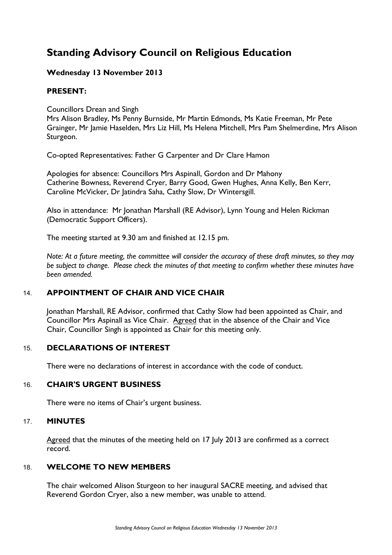# **Standing Advisory Council on Religious Education**

# **Wednesday 13 November 2013**

# **PRESENT:**

Councillors Drean and Singh

Mrs Alison Bradley, Ms Penny Burnside, Mr Martin Edmonds, Ms Katie Freeman, Mr Pete Grainger, Mr Jamie Haselden, Mrs Liz Hill, Ms Helena Mitchell, Mrs Pam Shelmerdine, Mrs Alison Sturgeon.

Co-opted Representatives: Father G Carpenter and Dr Clare Hamon

Apologies for absence: Councillors Mrs Aspinall, Gordon and Dr Mahony Catherine Bowness, Reverend Cryer, Barry Good, Gwen Hughes, Anna Kelly, Ben Kerr, Caroline McVicker, Dr Jatindra Saha, Cathy Slow, Dr Wintersgill.

Also in attendance: Mr Jonathan Marshall (RE Advisor), Lynn Young and Helen Rickman (Democratic Support Officers).

The meeting started at 9.30 am and finished at 12.15 pm.

*Note: At a future meeting, the committee will consider the accuracy of these draft minutes, so they may be subject to change. Please check the minutes of that meeting to confirm whether these minutes have been amended.*

# 14. **APPOINTMENT OF CHAIR AND VICE CHAIR**

Jonathan Marshall, RE Advisor, confirmed that Cathy Slow had been appointed as Chair, and Councillor Mrs Aspinall as Vice Chair. Agreed that in the absence of the Chair and Vice Chair, Councillor Singh is appointed as Chair for this meeting only.

# 15. **DECLARATIONS OF INTEREST**

There were no declarations of interest in accordance with the code of conduct.

# 16. **CHAIR'S URGENT BUSINESS**

There were no items of Chair's urgent business.

# 17. **MINUTES**

Agreed that the minutes of the meeting held on 17 July 2013 are confirmed as a correct record.

# 18. **WELCOME TO NEW MEMBERS**

The chair welcomed Alison Sturgeon to her inaugural SACRE meeting, and advised that Reverend Gordon Cryer, also a new member, was unable to attend.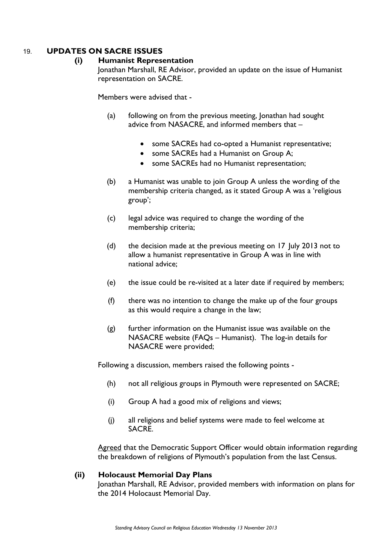# 19. **UPDATES ON SACRE ISSUES**

#### **(i) Humanist Representation**

Jonathan Marshall, RE Advisor, provided an update on the issue of Humanist representation on SACRE.

Members were advised that -

- (a) following on from the previous meeting, Jonathan had sought advice from NASACRE, and informed members that –
	- some SACREs had co-opted a Humanist representative;
	- some SACREs had a Humanist on Group A;
	- some SACREs had no Humanist representation;
- (b) a Humanist was unable to join Group A unless the wording of the membership criteria changed, as it stated Group A was a 'religious group';
- (c) legal advice was required to change the wording of the membership criteria;
- (d) the decision made at the previous meeting on 17 July 2013 not to allow a humanist representative in Group A was in line with national advice;
- (e) the issue could be re-visited at a later date if required by members;
- (f) there was no intention to change the make up of the four groups as this would require a change in the law;
- (g) further information on the Humanist issue was available on the NASACRE website (FAQs – Humanist). The log-in details for NASACRE were provided;

Following a discussion, members raised the following points -

- (h) not all religious groups in Plymouth were represented on SACRE;
- (i) Group A had a good mix of religions and views;
- (j) all religions and belief systems were made to feel welcome at SACRE.

Agreed that the Democratic Support Officer would obtain information regarding the breakdown of religions of Plymouth's population from the last Census.

#### **(ii) Holocaust Memorial Day Plans**

Jonathan Marshall, RE Advisor, provided members with information on plans for the 2014 Holocaust Memorial Day.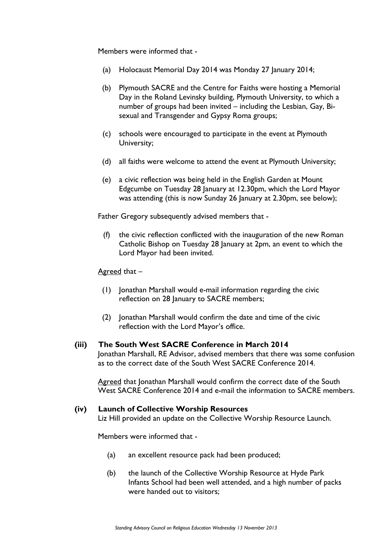Members were informed that -

- (a) Holocaust Memorial Day 2014 was Monday 27 January 2014;
- (b) Plymouth SACRE and the Centre for Faiths were hosting a Memorial Day in the Roland Levinsky building, Plymouth University, to which a number of groups had been invited – including the Lesbian, Gay, Bisexual and Transgender and Gypsy Roma groups;
- (c) schools were encouraged to participate in the event at Plymouth University;
- (d) all faiths were welcome to attend the event at Plymouth University;
- (e) a civic reflection was being held in the English Garden at Mount Edgcumbe on Tuesday 28 January at 12.30pm, which the Lord Mayor was attending (this is now Sunday 26 January at 2.30pm, see below);

Father Gregory subsequently advised members that -

(f) the civic reflection conflicted with the inauguration of the new Roman Catholic Bishop on Tuesday 28 January at 2pm, an event to which the Lord Mayor had been invited.

#### Agreed that –

- (1) Jonathan Marshall would e-mail information regarding the civic reflection on 28 January to SACRE members;
- (2) Jonathan Marshall would confirm the date and time of the civic reflection with the Lord Mayor's office.

#### **(iii) The South West SACRE Conference in March 2014**

Jonathan Marshall, RE Advisor, advised members that there was some confusion as to the correct date of the South West SACRE Conference 2014.

Agreed that Jonathan Marshall would confirm the correct date of the South West SACRE Conference 2014 and e-mail the information to SACRE members.

#### **(iv) Launch of Collective Worship Resources**

Liz Hill provided an update on the Collective Worship Resource Launch.

Members were informed that -

- (a) an excellent resource pack had been produced;
- (b) the launch of the Collective Worship Resource at Hyde Park Infants School had been well attended, and a high number of packs were handed out to visitors;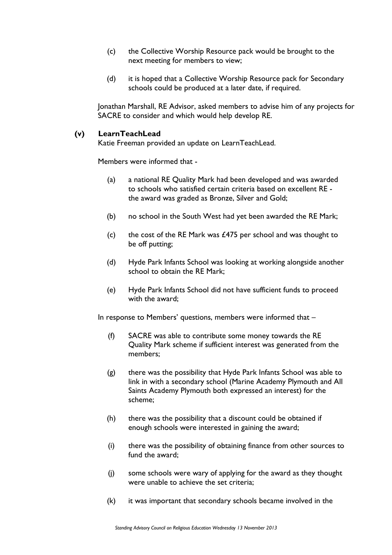- (c) the Collective Worship Resource pack would be brought to the next meeting for members to view;
- (d) it is hoped that a Collective Worship Resource pack for Secondary schools could be produced at a later date, if required.

Jonathan Marshall, RE Advisor, asked members to advise him of any projects for SACRE to consider and which would help develop RE.

## **(v) LearnTeachLead**

Katie Freeman provided an update on LearnTeachLead.

Members were informed that -

- (a) a national RE Quality Mark had been developed and was awarded to schools who satisfied certain criteria based on excellent RE the award was graded as Bronze, Silver and Gold;
- (b) no school in the South West had yet been awarded the RE Mark;
- (c) the cost of the RE Mark was  $£475$  per school and was thought to be off putting;
- (d) Hyde Park Infants School was looking at working alongside another school to obtain the RE Mark;
- (e) Hyde Park Infants School did not have sufficient funds to proceed with the award;

In response to Members' questions, members were informed that –

- (f) SACRE was able to contribute some money towards the RE Quality Mark scheme if sufficient interest was generated from the members;
- (g) there was the possibility that Hyde Park Infants School was able to link in with a secondary school (Marine Academy Plymouth and All Saints Academy Plymouth both expressed an interest) for the scheme;
- (h) there was the possibility that a discount could be obtained if enough schools were interested in gaining the award;
- (i) there was the possibility of obtaining finance from other sources to fund the award;
- (j) some schools were wary of applying for the award as they thought were unable to achieve the set criteria;
- (k) it was important that secondary schools became involved in the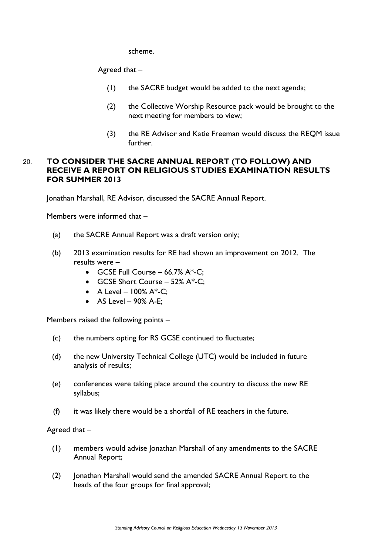scheme.

Agreed that –

- (1) the SACRE budget would be added to the next agenda;
- (2) the Collective Worship Resource pack would be brought to the next meeting for members to view;
- (3) the RE Advisor and Katie Freeman would discuss the REQM issue further.

# 20. **TO CONSIDER THE SACRE ANNUAL REPORT (TO FOLLOW) AND RECEIVE A REPORT ON RELIGIOUS STUDIES EXAMINATION RESULTS FOR SUMMER 2013**

Jonathan Marshall, RE Advisor, discussed the SACRE Annual Report.

Members were informed that –

- (a) the SACRE Annual Report was a draft version only;
- (b) 2013 examination results for RE had shown an improvement on 2012. The results were –
	- GCSE Full Course  $-66.7\%$  A\*-C;
	- GCSE Short Course 52% A\*-C;
	- A Level  $100\%$  A $*$ -C;
	- $\bullet$  AS Level 90% A-E;

Members raised the following points –

- (c) the numbers opting for RS GCSE continued to fluctuate;
- (d) the new University Technical College (UTC) would be included in future analysis of results;
- (e) conferences were taking place around the country to discuss the new RE syllabus;
- (f) it was likely there would be a shortfall of RE teachers in the future.

Agreed that –

- (1) members would advise Jonathan Marshall of any amendments to the SACRE Annual Report;
- (2) Jonathan Marshall would send the amended SACRE Annual Report to the heads of the four groups for final approval;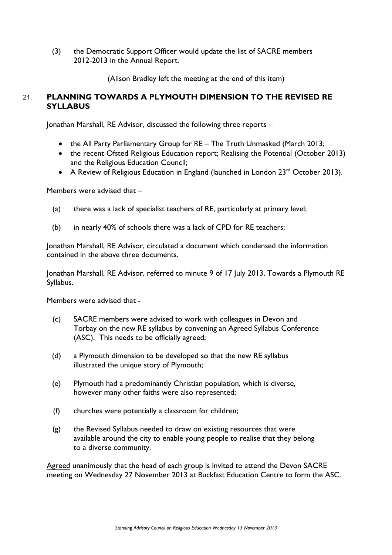(3) the Democratic Support Officer would update the list of SACRE members 2012-2013 in the Annual Report.

(Alison Bradley left the meeting at the end of this item)

# 21. **PLANNING TOWARDS A PLYMOUTH DIMENSION TO THE REVISED RE SYLLABUS**

Jonathan Marshall, RE Advisor, discussed the following three reports –

- the All Party Parliamentary Group for RE The Truth Unmasked (March 2013;
- the recent Ofsted Religious Education report; Realising the Potential (October 2013) and the Religious Education Council;
- A Review of Religious Education in England (launched in London 23<sup>rd</sup> October 2013).

Members were advised that –

- (a) there was a lack of specialist teachers of RE, particularly at primary level;
- (b) in nearly 40% of schools there was a lack of CPD for RE teachers;

Jonathan Marshall, RE Advisor, circulated a document which condensed the information contained in the above three documents.

Jonathan Marshall, RE Advisor, referred to minute 9 of 17 July 2013, Towards a Plymouth RE Syllabus.

Members were advised that -

- (c) SACRE members were advised to work with colleagues in Devon and Torbay on the new RE syllabus by convening an Agreed Syllabus Conference (ASC). This needs to be officially agreed;
- (d) a Plymouth dimension to be developed so that the new RE syllabus illustrated the unique story of Plymouth;
- (e) Plymouth had a predominantly Christian population, which is diverse, however many other faiths were also represented;
- (f) churches were potentially a classroom for children;
- (g) the Revised Syllabus needed to draw on existing resources that were available around the city to enable young people to realise that they belong to a diverse community.

Agreed unanimously that the head of each group is invited to attend the Devon SACRE meeting on Wednesday 27 November 2013 at Buckfast Education Centre to form the ASC.